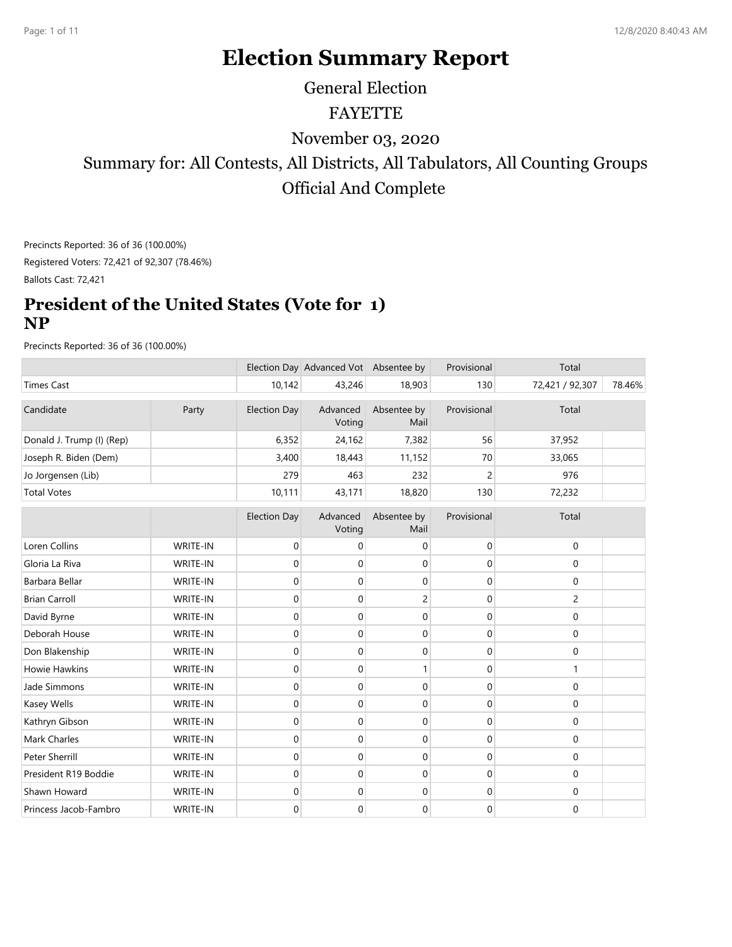# **Election Summary Report**

General Election

#### FAYETTE

November 03, 2020

Summary for: All Contests, All Districts, All Tabulators, All Counting Groups Official And Complete

Precincts Reported: 36 of 36 (100.00%) Registered Voters: 72,421 of 92,307 (78.46%)

Ballots Cast: 72,421

#### **President of the United States (Vote for 1) NP**

|                           |          |                     | Election Day Advanced Vot Absentee by |                     | Provisional | Total           |        |
|---------------------------|----------|---------------------|---------------------------------------|---------------------|-------------|-----------------|--------|
| <b>Times Cast</b>         |          | 10,142              | 43,246                                | 18,903              | 130         | 72,421 / 92,307 | 78.46% |
| Candidate                 | Party    | <b>Election Day</b> | Advanced<br>Voting                    | Absentee by<br>Mail | Provisional | Total           |        |
| Donald J. Trump (I) (Rep) |          | 6,352               | 24,162                                | 7,382               | 56          | 37,952          |        |
| Joseph R. Biden (Dem)     |          | 3,400               | 18,443                                | 11,152              | 70          | 33,065          |        |
| Jo Jorgensen (Lib)        |          | 279                 | 463                                   | 232                 | 2           | 976             |        |
| <b>Total Votes</b>        |          | 10,111              | 43,171                                | 18,820              | 130         | 72,232          |        |
|                           |          | <b>Election Day</b> | Advanced<br>Voting                    | Absentee by<br>Mail | Provisional | Total           |        |
| Loren Collins             | WRITE-IN | $\mathbf 0$         | $\mathbf 0$                           | $\mathbf 0$         | $\mathbf 0$ | $\mathbf 0$     |        |
| Gloria La Riva            | WRITE-IN | $\mathbf 0$         | $\mathbf 0$                           | 0                   | $\mathbf 0$ | 0               |        |
| Barbara Bellar            | WRITE-IN | $\mathbf 0$         | $\mathbf 0$                           | 0                   | $\mathbf 0$ | $\mathbf 0$     |        |
| <b>Brian Carroll</b>      | WRITE-IN | $\Omega$            | $\mathbf 0$                           | $\overline{c}$      | $\mathbf 0$ | 2               |        |
| David Byrne               | WRITE-IN | $\mathbf 0$         | 0                                     | $\pmb{0}$           | 0           | $\pmb{0}$       |        |
| Deborah House             | WRITE-IN | $\mathbf 0$         | $\mathbf 0$                           | $\mathbf 0$         | $\mathbf 0$ | $\mathbf 0$     |        |
| Don Blakenship            | WRITE-IN | $\mathbf{0}$        | $\mathbf 0$                           | $\mathbf 0$         | $\Omega$    | $\mathbf 0$     |        |
| Howie Hawkins             | WRITE-IN | $\mathbf 0$         | $\mathbf 0$                           | $\mathbf{1}$        | 0           | 1               |        |
| Jade Simmons              | WRITE-IN | $\mathbf 0$         | $\mathbf 0$                           | $\pmb{0}$           | $\mathbf 0$ | $\pmb{0}$       |        |
| Kasey Wells               | WRITE-IN | $\mathbf 0$         | $\mathbf 0$                           | $\mathbf 0$         | $\mathbf 0$ | $\mathbf 0$     |        |
| Kathryn Gibson            | WRITE-IN | $\mathbf 0$         | $\mathbf 0$                           | 0                   | $\mathbf 0$ | $\mathbf 0$     |        |
| Mark Charles              | WRITE-IN | $\mathbf 0$         | $\pmb{0}$                             | $\mathbf 0$         | $\pmb{0}$   | $\pmb{0}$       |        |
| Peter Sherrill            | WRITE-IN | $\mathbf 0$         | $\mathbf 0$                           | $\mathbf 0$         | $\mathbf 0$ | $\mathbf 0$     |        |
| President R19 Boddie      | WRITE-IN | $\mathbf 0$         | $\mathbf 0$                           | $\boldsymbol{0}$    | $\mathbf 0$ | $\mathbf 0$     |        |
| Shawn Howard              | WRITE-IN | $\mathbf 0$         | $\mathbf 0$                           | $\mathbf 0$         | 0           | $\mathbf 0$     |        |
| Princess Jacob-Fambro     | WRITE-IN | $\mathbf 0$         | $\mathbf 0$                           | $\pmb{0}$           | $\pmb{0}$   | $\pmb{0}$       |        |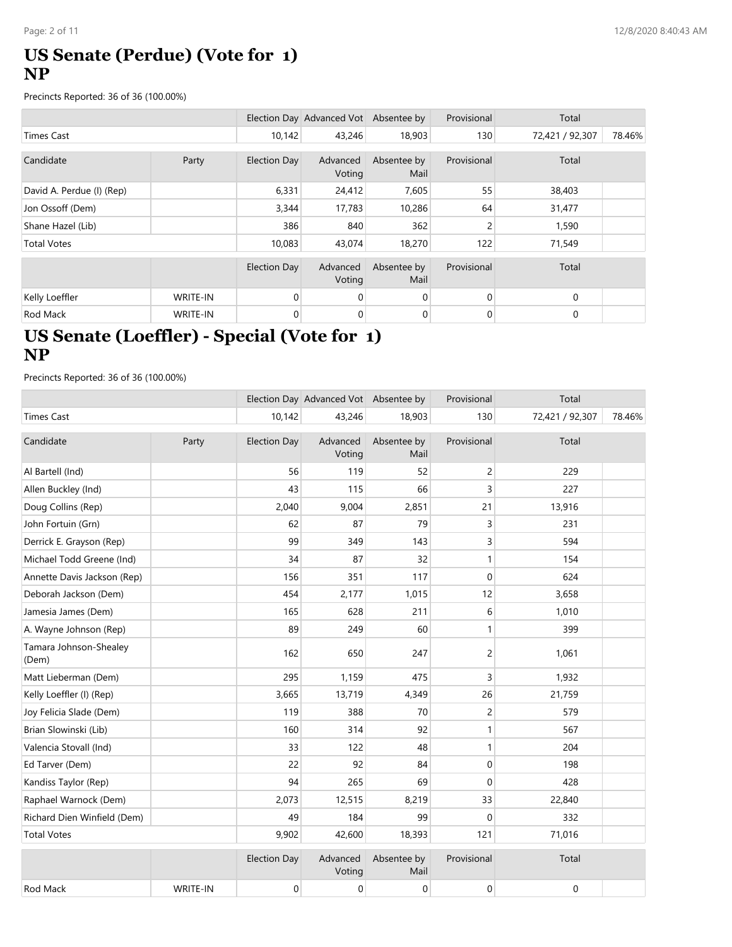#### **US Senate (Perdue) (Vote for 1) NP**

Precincts Reported: 36 of 36 (100.00%)

|                           |                 |                     | Election Day Advanced Vot Absentee by |                     | Provisional | Total           |        |
|---------------------------|-----------------|---------------------|---------------------------------------|---------------------|-------------|-----------------|--------|
| <b>Times Cast</b>         |                 | 10,142              | 43,246                                | 18,903              | 130         | 72,421 / 92,307 | 78.46% |
|                           |                 |                     |                                       |                     |             |                 |        |
| Candidate                 | Party           | Election Day        | Advanced<br>Voting                    | Absentee by<br>Mail | Provisional | Total           |        |
| David A. Perdue (I) (Rep) |                 | 6,331               | 24,412                                | 7,605               | 55          | 38,403          |        |
| Jon Ossoff (Dem)          |                 | 3,344               | 17,783                                | 10,286              | 64          | 31,477          |        |
| Shane Hazel (Lib)         |                 | 386                 | 840                                   | 362                 | 2           | 1,590           |        |
| <b>Total Votes</b>        |                 | 10,083              | 43,074                                | 18,270              | 122         | 71,549          |        |
|                           |                 |                     |                                       |                     |             |                 |        |
|                           |                 | <b>Election Day</b> | Advanced<br>Voting                    | Absentee by<br>Mail | Provisional | Total           |        |
| Kelly Loeffler            | WRITE-IN        | $\Omega$            | 0                                     | 0                   | 0           | $\mathbf 0$     |        |
| <b>Rod Mack</b>           | <b>WRITE-IN</b> | 0                   | 0                                     | 0                   | 0           | $\mathbf 0$     |        |
|                           |                 |                     |                                       |                     |             |                 |        |

# **US Senate (Loeffler) - Special (Vote for 1) NP**

|                                 |          |                     | Election Day Advanced Vot Absentee by |                     | Provisional    | Total           |        |
|---------------------------------|----------|---------------------|---------------------------------------|---------------------|----------------|-----------------|--------|
| <b>Times Cast</b>               |          | 10,142              | 43,246                                | 18,903              | 130            | 72,421 / 92,307 | 78.46% |
| Candidate                       | Party    | <b>Election Day</b> | Advanced<br>Voting                    | Absentee by<br>Mail | Provisional    | Total           |        |
| Al Bartell (Ind)                |          | 56                  | 119                                   | 52                  | $\overline{c}$ | 229             |        |
| Allen Buckley (Ind)             |          | 43                  | 115                                   | 66                  | 3              | 227             |        |
| Doug Collins (Rep)              |          | 2,040               | 9,004                                 | 2,851               | 21             | 13,916          |        |
| John Fortuin (Grn)              |          | 62                  | 87                                    | 79                  | 3              | 231             |        |
| Derrick E. Grayson (Rep)        |          | 99                  | 349                                   | 143                 | 3              | 594             |        |
| Michael Todd Greene (Ind)       |          | 34                  | 87                                    | 32                  | $\mathbf{1}$   | 154             |        |
| Annette Davis Jackson (Rep)     |          | 156                 | 351                                   | 117                 | 0              | 624             |        |
| Deborah Jackson (Dem)           |          | 454                 | 2,177                                 | 1,015               | 12             | 3,658           |        |
| Jamesia James (Dem)             |          | 165                 | 628                                   | 211                 | 6              | 1,010           |        |
| A. Wayne Johnson (Rep)          |          | 89                  | 249                                   | 60                  | $\mathbf{1}$   | 399             |        |
| Tamara Johnson-Shealey<br>(Dem) |          | 162                 | 650                                   | 247                 | 2              | 1,061           |        |
| Matt Lieberman (Dem)            |          | 295                 | 1,159                                 | 475                 | 3              | 1,932           |        |
| Kelly Loeffler (I) (Rep)        |          | 3,665               | 13,719                                | 4,349               | 26             | 21,759          |        |
| Joy Felicia Slade (Dem)         |          | 119                 | 388                                   | 70                  | 2              | 579             |        |
| Brian Slowinski (Lib)           |          | 160                 | 314                                   | 92                  | $\mathbf{1}$   | 567             |        |
| Valencia Stovall (Ind)          |          | 33                  | 122                                   | 48                  | $\mathbf{1}$   | 204             |        |
| Ed Tarver (Dem)                 |          | 22                  | 92                                    | 84                  | 0              | 198             |        |
| Kandiss Taylor (Rep)            |          | 94                  | 265                                   | 69                  | 0              | 428             |        |
| Raphael Warnock (Dem)           |          | 2,073               | 12,515                                | 8,219               | 33             | 22,840          |        |
| Richard Dien Winfield (Dem)     |          | 49                  | 184                                   | 99                  | 0              | 332             |        |
| <b>Total Votes</b>              |          | 9,902               | 42,600                                | 18,393              | 121            | 71,016          |        |
|                                 |          | <b>Election Day</b> | Advanced<br>Voting                    | Absentee by<br>Mail | Provisional    | Total           |        |
| Rod Mack                        | WRITE-IN | 0                   | 0                                     | 0                   | 0              | 0               |        |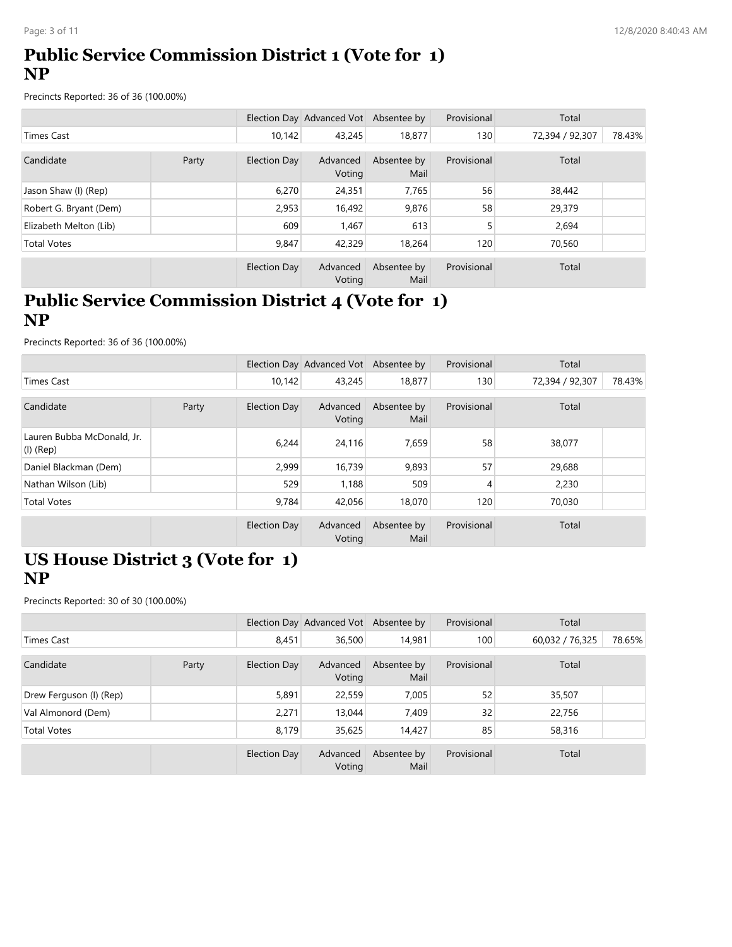# **Public Service Commission District 1 (Vote for 1) NP**

Precincts Reported: 36 of 36 (100.00%)

|                        |       |                     | Election Day Advanced Vot Absentee by |                     | Provisional | Total           |        |
|------------------------|-------|---------------------|---------------------------------------|---------------------|-------------|-----------------|--------|
| <b>Times Cast</b>      |       | 10,142              | 43,245                                | 18,877              | 130         | 72,394 / 92,307 | 78.43% |
|                        |       |                     |                                       |                     |             |                 |        |
| Candidate              | Party | <b>Election Day</b> | Advanced<br>Voting                    | Absentee by<br>Mail | Provisional | Total           |        |
| Jason Shaw (I) (Rep)   |       | 6,270               | 24,351                                | 7,765               | 56          | 38,442          |        |
| Robert G. Bryant (Dem) |       | 2,953               | 16,492                                | 9,876               | 58          | 29,379          |        |
| Elizabeth Melton (Lib) |       | 609                 | 1,467                                 | 613                 | 5           | 2,694           |        |
| <b>Total Votes</b>     |       | 9,847               | 42,329                                | 18,264              | 120         | 70,560          |        |
|                        |       | <b>Election Day</b> | Advanced<br>Voting                    | Absentee by<br>Mail | Provisional | Total           |        |

# **Public Service Commission District 4 (Vote for 1) NP**

Precincts Reported: 36 of 36 (100.00%)

|                                           |  |              | Election Day Advanced Vot Absentee by |                     | Provisional | Total           |        |
|-------------------------------------------|--|--------------|---------------------------------------|---------------------|-------------|-----------------|--------|
| Times Cast                                |  | 10,142       | 43,245                                | 18,877              | 130         | 72,394 / 92,307 | 78.43% |
| Candidate<br>Party                        |  | Election Day | Advanced<br>Voting                    | Absentee by<br>Mail | Provisional | Total           |        |
| Lauren Bubba McDonald, Jr.<br>$(I)$ (Rep) |  | 6.244        | 24,116                                | 7,659               | 58          | 38,077          |        |
| Daniel Blackman (Dem)                     |  | 2.999        | 16,739                                | 9,893               | 57          | 29,688          |        |
| Nathan Wilson (Lib)                       |  | 529          | 1,188                                 | 509                 | 4           | 2,230           |        |
| <b>Total Votes</b>                        |  | 9,784        | 42,056                                | 18,070              | 120         | 70,030          |        |
|                                           |  | Election Day | Advanced<br>Voting                    | Absentee by<br>Mail | Provisional | Total           |        |

#### **US House District 3 (Vote for 1) NP**

|                         |       |              | Election Day Advanced Vot | Absentee by         | Provisional | Total           |        |
|-------------------------|-------|--------------|---------------------------|---------------------|-------------|-----------------|--------|
| Times Cast              |       | 8.451        | 36,500                    | 14,981              | 100         | 60,032 / 76,325 | 78.65% |
| Candidate               | Party | Election Day | Advanced<br>Voting        | Absentee by<br>Mail | Provisional | Total           |        |
| Drew Ferguson (I) (Rep) |       | 5,891        | 22,559                    | 7,005               | 52          | 35,507          |        |
| Val Almonord (Dem)      |       | 2,271        | 13,044                    | 7,409               | 32          | 22,756          |        |
| <b>Total Votes</b>      |       | 8.179        | 35,625                    | 14,427              | 85          | 58,316          |        |
|                         |       | Election Day | Advanced<br>Voting        | Absentee by<br>Mail | Provisional | Total           |        |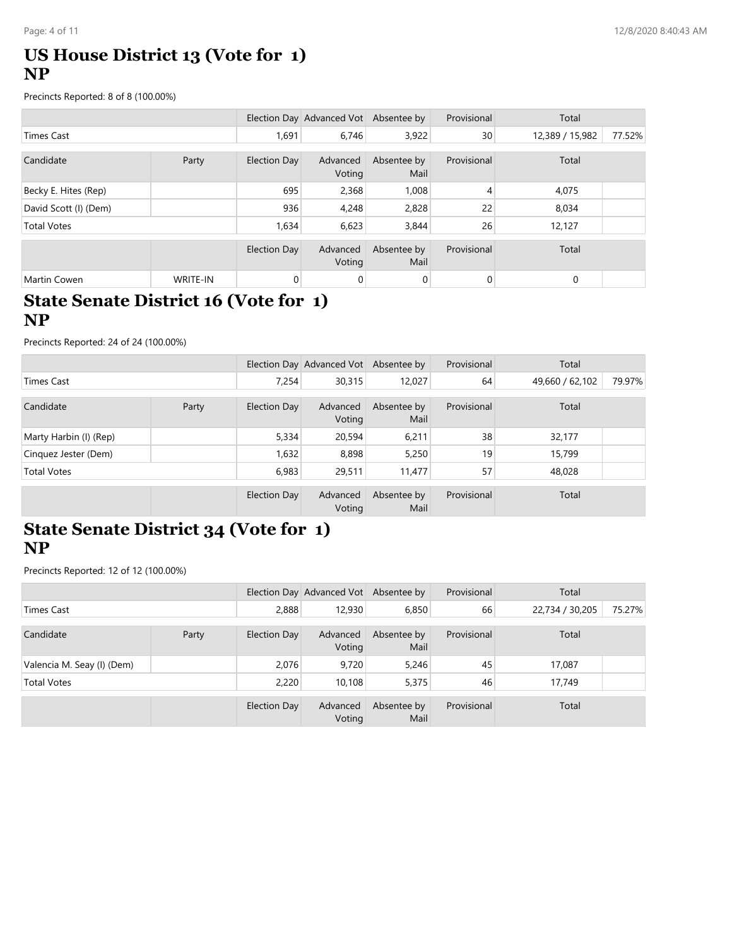# **US House District 13 (Vote for 1) NP**

Precincts Reported: 8 of 8 (100.00%)

|                       |          |                     | Election Day Advanced Vot Absentee by |                     | Provisional     | Total           |        |
|-----------------------|----------|---------------------|---------------------------------------|---------------------|-----------------|-----------------|--------|
| Times Cast            |          |                     | 6,746                                 | 3,922               | 30 <sup>°</sup> | 12,389 / 15,982 | 77.52% |
| Candidate             | Party    | Election Day        | Advanced<br>Voting                    | Absentee by<br>Mail | Provisional     | Total           |        |
| Becky E. Hites (Rep)  |          | 695                 | 2,368                                 | 1,008               | 4               | 4,075           |        |
| David Scott (I) (Dem) |          | 936                 | 4,248                                 | 2,828               | 22              | 8,034           |        |
| <b>Total Votes</b>    |          | 1.634               | 6,623                                 | 3,844               | 26              | 12,127          |        |
|                       |          | <b>Election Day</b> | Advanced<br>Voting                    | Absentee by<br>Mail | Provisional     | Total           |        |
| Martin Cowen          | WRITE-IN | 0                   | 0                                     | 0                   | $\overline{0}$  | 0               |        |

#### **State Senate District 16 (Vote for 1) NP**

Precincts Reported: 24 of 24 (100.00%)

|                        |       |              | Election Day Advanced Vot Absentee by |                     | Provisional | Total           |        |
|------------------------|-------|--------------|---------------------------------------|---------------------|-------------|-----------------|--------|
| <b>Times Cast</b>      |       | 7,254        | 30,315                                | 12,027              | 64          | 49,660 / 62,102 | 79.97% |
| Candidate              | Party | Election Day | Advanced<br>Voting                    | Absentee by<br>Mail | Provisional | Total           |        |
| Marty Harbin (I) (Rep) |       | 5,334        | 20,594                                | 6,211               | 38          | 32,177          |        |
| Cinquez Jester (Dem)   |       | 1,632        | 8,898                                 | 5,250               | 19          | 15,799          |        |
| <b>Total Votes</b>     |       | 6,983        | 29,511                                | 11,477              | 57          | 48,028          |        |
|                        |       | Election Day | Advanced<br>Voting                    | Absentee by<br>Mail | Provisional | Total           |        |

# **State Senate District 34 (Vote for 1) NP**

Precincts Reported: 12 of 12 (100.00%)

|                            |       |              | Election Day Advanced Vot Absentee by |                     | Provisional | Total           |        |
|----------------------------|-------|--------------|---------------------------------------|---------------------|-------------|-----------------|--------|
| Times Cast                 |       | 2,888        | 12,930                                | 6,850               | 66          | 22,734 / 30,205 | 75.27% |
| Candidate                  | Party | Election Day | Advanced<br>Voting                    | Absentee by<br>Mail | Provisional | Total           |        |
| Valencia M. Seay (I) (Dem) |       | 2.076        | 9,720                                 | 5,246               | 45          | 17,087          |        |
| <b>Total Votes</b>         |       | 2,220        | 10,108                                | 5,375               | 46          | 17,749          |        |
|                            |       | Election Day | Advanced<br>Voting                    | Absentee by<br>Mail | Provisional | Total           |        |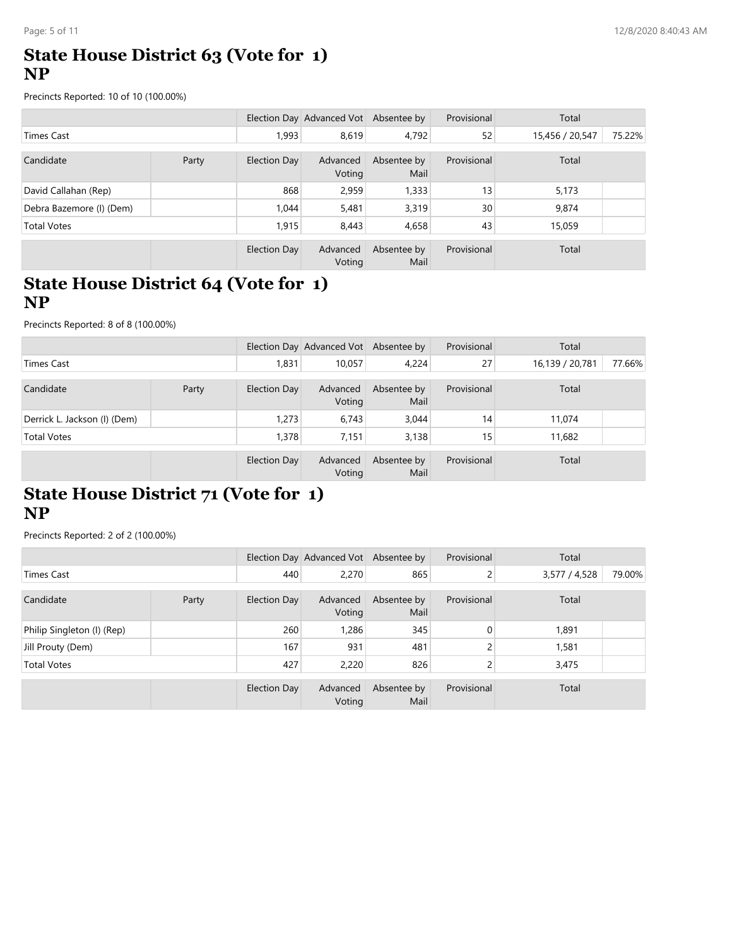#### **State House District 63 (Vote for 1) NP**

Precincts Reported: 10 of 10 (100.00%)

|                          |  |              | Election Day Advanced Vot Absentee by |                     | Provisional | Total           |        |
|--------------------------|--|--------------|---------------------------------------|---------------------|-------------|-----------------|--------|
| Times Cast               |  | 1,993        | 8.619                                 | 4,792               | 52          | 15,456 / 20,547 | 75.22% |
| Candidate<br>Party       |  | Election Day | Advanced<br>Voting                    | Absentee by<br>Mail | Provisional | Total           |        |
| David Callahan (Rep)     |  | 868          | 2,959                                 | 1,333               | 13          | 5,173           |        |
| Debra Bazemore (I) (Dem) |  | 1.044        | 5,481                                 | 3,319               | 30          | 9,874           |        |
| <b>Total Votes</b>       |  | 1,915        | 8,443                                 | 4,658               | 43          | 15,059          |        |
|                          |  | Election Day | Advanced<br>Voting                    | Absentee by<br>Mail | Provisional | Total           |        |

### **State House District 64 (Vote for 1) NP**

Precincts Reported: 8 of 8 (100.00%)

|                              |       |              | Election Day Advanced Vot Absentee by |                     | Provisional     | Total           |        |
|------------------------------|-------|--------------|---------------------------------------|---------------------|-----------------|-----------------|--------|
| Times Cast                   |       | 1,831        | 10,057                                | 4,224               | 27              | 16,139 / 20,781 | 77.66% |
| Candidate                    | Party | Election Day | Advanced<br>Voting                    | Absentee by<br>Mail | Provisional     | Total           |        |
| Derrick L. Jackson (I) (Dem) |       | 1.273        | 6.743                                 | 3,044               | 14 <sub>1</sub> | 11,074          |        |
| <b>Total Votes</b>           |       | 1,378        | 7.151                                 | 3,138               | 15 <sub>1</sub> | 11,682          |        |
|                              |       | Election Day | Advanced<br>Voting                    | Absentee by<br>Mail | Provisional     | Total           |        |

# **State House District 71 (Vote for 1) NP**

|                            |       |              | Election Day Advanced Vot Absentee by |                     | Provisional    | Total         |        |
|----------------------------|-------|--------------|---------------------------------------|---------------------|----------------|---------------|--------|
| <b>Times Cast</b>          |       | 440          | 2,270                                 | 865                 | 2              | 3,577 / 4,528 | 79.00% |
| Candidate                  | Party | Election Day | Advanced<br>Voting                    | Absentee by<br>Mail | Provisional    | Total         |        |
| Philip Singleton (I) (Rep) |       | 260          | 1,286                                 | 345                 | $\overline{0}$ | 1,891         |        |
| Jill Prouty (Dem)          |       | 167          | 931                                   | 481                 | C.             | 1,581         |        |
| <b>Total Votes</b>         |       | 427          | 2,220                                 | 826                 | <sup>1</sup>   | 3,475         |        |
|                            |       | Election Day | Advanced<br>Voting                    | Absentee by<br>Mail | Provisional    | Total         |        |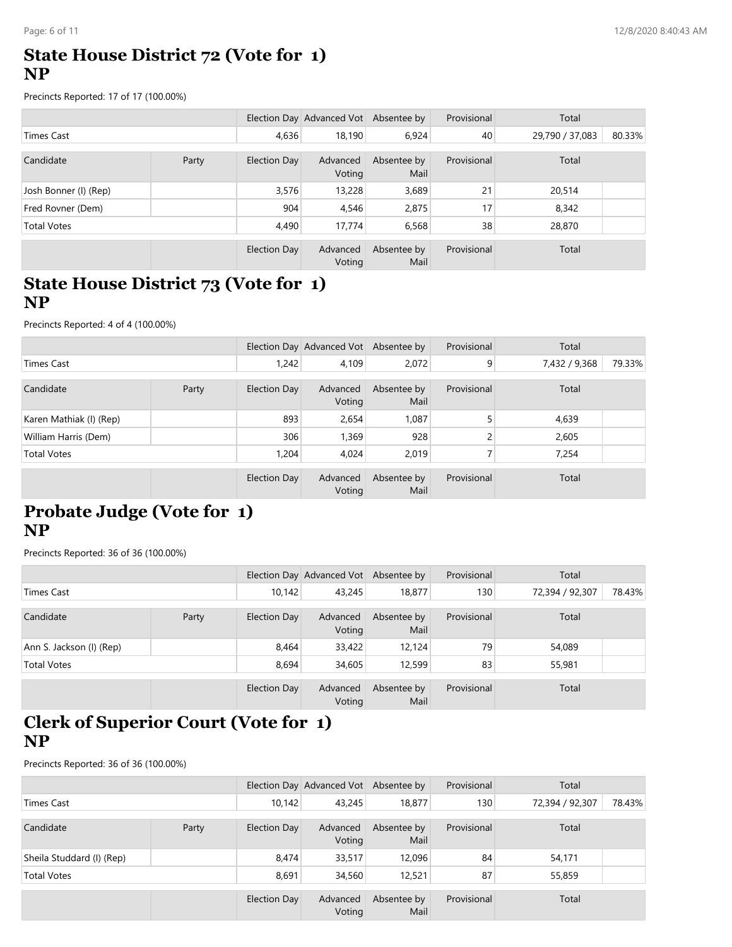#### **State House District 72 (Vote for 1) NP**

Precincts Reported: 17 of 17 (100.00%)

|                       |       |              | Election Day Advanced Vot Absentee by |                     | Provisional | Total           |        |
|-----------------------|-------|--------------|---------------------------------------|---------------------|-------------|-----------------|--------|
| <b>Times Cast</b>     |       | 4,636        | 18,190                                | 6,924               | 40          | 29,790 / 37,083 | 80.33% |
| Candidate             | Party | Election Day | Advanced<br>Voting                    | Absentee by<br>Mail | Provisional | Total           |        |
| Josh Bonner (I) (Rep) |       | 3,576        | 13,228                                | 3,689               | 21          | 20,514          |        |
| Fred Rovner (Dem)     |       | 904          | 4,546                                 | 2,875               | 17          | 8,342           |        |
| <b>Total Votes</b>    |       | 4,490        | 17,774                                | 6,568               | 38          | 28,870          |        |
|                       |       | Election Day | Advanced<br>Voting                    | Absentee by<br>Mail | Provisional | Total           |        |

#### **State House District 73 (Vote for 1) NP**

Precincts Reported: 4 of 4 (100.00%)

|                         |       |              | Election Day Advanced Vot Absentee by |                     | Provisional | Total         |        |
|-------------------------|-------|--------------|---------------------------------------|---------------------|-------------|---------------|--------|
| Times Cast              |       | 1.242        | 4,109                                 | 2,072               | 9           | 7,432 / 9,368 | 79.33% |
| Candidate               | Party | Election Day | Advanced<br>Voting                    | Absentee by<br>Mail | Provisional | Total         |        |
| Karen Mathiak (I) (Rep) |       | 893          | 2,654                                 | 1,087               | 5           | 4,639         |        |
| William Harris (Dem)    |       | 306          | 1,369                                 | 928                 |             | 2,605         |        |
| <b>Total Votes</b>      |       | 1.204        | 4.024                                 | 2,019               |             | 7,254         |        |
|                         |       | Election Day | Advanced<br>Voting                    | Absentee by<br>Mail | Provisional | Total         |        |

### **Probate Judge (Vote for 1) NP**

Precincts Reported: 36 of 36 (100.00%)

|                          |  |              | Election Day Advanced Vot Absentee by |                     | Provisional | Total           |        |
|--------------------------|--|--------------|---------------------------------------|---------------------|-------------|-----------------|--------|
| Times Cast               |  | 10,142       | 43,245                                | 18,877              | 130         | 72,394 / 92,307 | 78.43% |
| Candidate<br>Party       |  | Election Day | Advanced<br>Voting                    | Absentee by<br>Mail | Provisional | Total           |        |
| Ann S. Jackson (I) (Rep) |  | 8,464        | 33,422                                | 12,124              | 79          | 54,089          |        |
| <b>Total Votes</b>       |  | 8,694        | 34,605                                | 12,599              | 83          | 55,981          |        |
|                          |  | Election Day | Advanced<br>Voting                    | Absentee by<br>Mail | Provisional | Total           |        |

#### **Clerk of Superior Court (Vote for 1) NP**

|                           |  |              | Election Day Advanced Vot Absentee by |                     | Provisional | Total           |        |
|---------------------------|--|--------------|---------------------------------------|---------------------|-------------|-----------------|--------|
| Times Cast                |  | 10,142       | 43,245                                | 18,877              | 130         | 72,394 / 92,307 | 78.43% |
| Candidate<br>Party        |  | Election Day | Advanced<br>Voting                    | Absentee by<br>Mail | Provisional | Total           |        |
| Sheila Studdard (I) (Rep) |  | 8.474        | 33,517                                | 12,096              | 84          | 54,171          |        |
| <b>Total Votes</b>        |  | 8,691        | 34,560                                | 12,521              | 87          | 55,859          |        |
|                           |  | Election Day | Advanced<br>Voting                    | Absentee by<br>Mail | Provisional | Total           |        |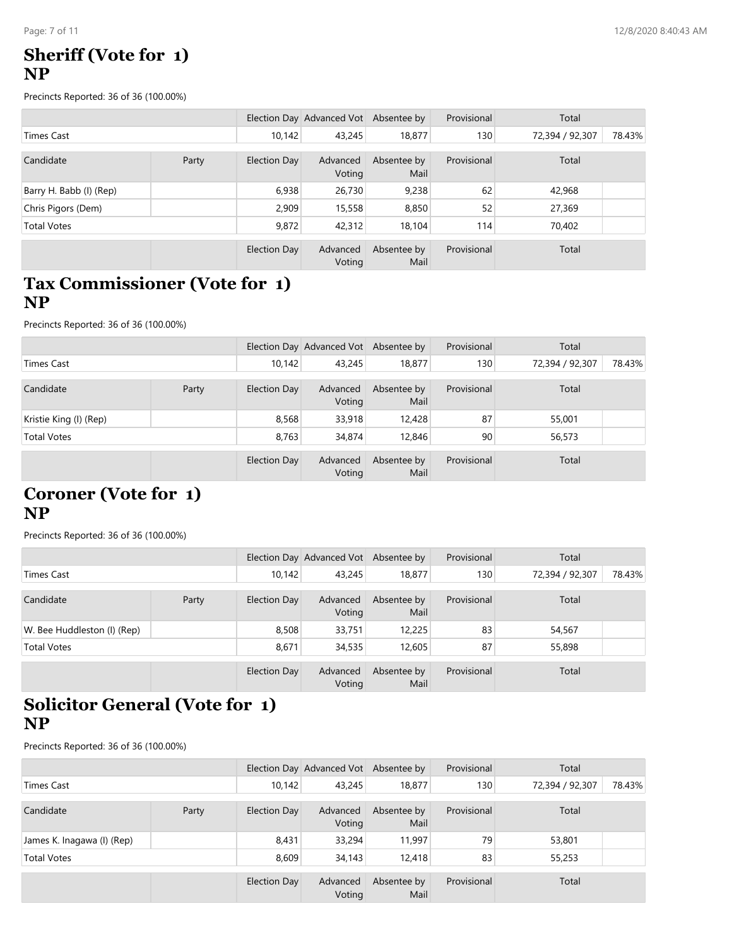#### **Sheriff (Vote for 1) NP**

Precincts Reported: 36 of 36 (100.00%)

|                         |       |              | Election Day Advanced Vot Absentee by |                     | Provisional | Total           |        |
|-------------------------|-------|--------------|---------------------------------------|---------------------|-------------|-----------------|--------|
| <b>Times Cast</b>       |       | 10,142       | 43,245                                | 18,877              | 130         | 72,394 / 92,307 | 78.43% |
| Candidate               | Party | Election Day | Advanced<br>Voting                    | Absentee by<br>Mail | Provisional | Total           |        |
| Barry H. Babb (I) (Rep) |       | 6,938        | 26,730                                | 9,238               | 62          | 42,968          |        |
| Chris Pigors (Dem)      |       | 2,909        | 15,558                                | 8,850               | 52          | 27,369          |        |
| <b>Total Votes</b>      |       | 9,872        | 42,312                                | 18,104              | 114         | 70,402          |        |
|                         |       | Election Day | Advanced<br>Voting                    | Absentee by<br>Mail | Provisional | Total           |        |

### **Tax Commissioner (Vote for 1) NP**

Precincts Reported: 36 of 36 (100.00%)

|                        |       |              | Election Day Advanced Vot Absentee by |                     | Provisional | Total           |        |
|------------------------|-------|--------------|---------------------------------------|---------------------|-------------|-----------------|--------|
| Times Cast             |       | 10.142       | 43,245                                | 18,877              | 130         | 72,394 / 92,307 | 78.43% |
| Candidate              | Party | Election Day | Advanced<br>Voting                    | Absentee by<br>Mail | Provisional | Total           |        |
| Kristie King (I) (Rep) |       | 8,568        | 33,918                                | 12,428              | 87          | 55,001          |        |
| <b>Total Votes</b>     |       | 8.763        | 34,874                                | 12,846              | 90          | 56,573          |        |
|                        |       | Election Day | Advanced<br>Voting                    | Absentee by<br>Mail | Provisional | Total           |        |

#### **Coroner (Vote for 1) NP**

Precincts Reported: 36 of 36 (100.00%)

|                             |       |              | Election Day Advanced Vot Absentee by |                     | Provisional | Total           |        |
|-----------------------------|-------|--------------|---------------------------------------|---------------------|-------------|-----------------|--------|
| Times Cast                  |       | 10,142       | 43,245                                | 18,877              | 130         | 72,394 / 92,307 | 78.43% |
| Candidate                   | Party | Election Day | Advanced<br>Voting                    | Absentee by<br>Mail | Provisional | Total           |        |
| W. Bee Huddleston (I) (Rep) |       | 8,508        | 33,751                                | 12,225              | 83          | 54,567          |        |
| <b>Total Votes</b>          |       | 8,671        | 34,535                                | 12,605              | 87          | 55,898          |        |
|                             |       | Election Day | Advanced<br>Voting                    | Absentee by<br>Mail | Provisional | Total           |        |

#### **Solicitor General (Vote for 1) NP**

|                            |       |              | Election Day Advanced Vot Absentee by |                     | Provisional | Total           |        |
|----------------------------|-------|--------------|---------------------------------------|---------------------|-------------|-----------------|--------|
| Times Cast                 |       | 10.142       | 43,245                                | 18,877              | 130         | 72,394 / 92,307 | 78.43% |
| Candidate                  | Party | Election Day | Advanced<br>Voting                    | Absentee by<br>Mail | Provisional | Total           |        |
| James K. Inagawa (I) (Rep) |       | 8,431        | 33,294                                | 11,997              | 79          | 53,801          |        |
| <b>Total Votes</b>         |       | 8.609        | 34,143                                | 12,418              | 83          | 55,253          |        |
|                            |       | Election Day | Advanced<br>Voting                    | Absentee by<br>Mail | Provisional | Total           |        |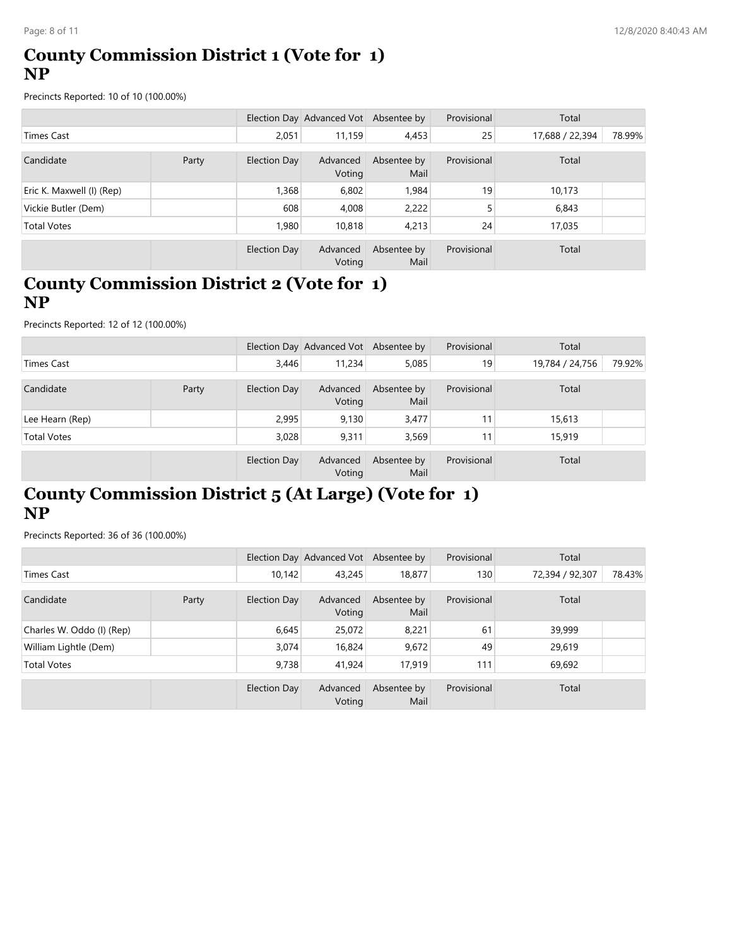#### **County Commission District 1 (Vote for 1) NP**

Precincts Reported: 10 of 10 (100.00%)

|                           |       |              | Election Day Advanced Vot Absentee by |                     | Provisional | Total           |        |
|---------------------------|-------|--------------|---------------------------------------|---------------------|-------------|-----------------|--------|
| Times Cast                |       | 2.051        | 11,159                                | 4,453               | 25          | 17,688 / 22,394 | 78.99% |
| Candidate                 | Party | Election Day | Advanced<br>Voting                    | Absentee by<br>Mail | Provisional | Total           |        |
| Eric K. Maxwell (I) (Rep) |       | 1,368        | 6,802                                 | 1,984               | 19          | 10,173          |        |
| Vickie Butler (Dem)       |       | 608          | 4.008                                 | 2,222               | 5           | 6,843           |        |
| <b>Total Votes</b>        |       | 1,980        | 10,818                                | 4,213               | 24          | 17,035          |        |
|                           |       | Election Day | Advanced<br>Voting                    | Absentee by<br>Mail | Provisional | Total           |        |

# **County Commission District 2 (Vote for 1) NP**

Precincts Reported: 12 of 12 (100.00%)

|                    |       |              | Election Day Advanced Vot Absentee by |                     | Provisional | Total           |        |
|--------------------|-------|--------------|---------------------------------------|---------------------|-------------|-----------------|--------|
| Times Cast         |       | 3.446        | 11,234                                | 5,085               | 19          | 19,784 / 24,756 | 79.92% |
| Candidate          | Party | Election Day | Advanced<br>Voting                    | Absentee by<br>Mail | Provisional | Total           |        |
| Lee Hearn (Rep)    |       | 2,995        | 9,130                                 | 3,477               | 11          | 15,613          |        |
| <b>Total Votes</b> |       | 3,028        | 9,311                                 | 3,569               | 11          | 15,919          |        |
|                    |       | Election Day | Advanced<br>Voting                    | Absentee by<br>Mail | Provisional | Total           |        |

# **County Commission District 5 (At Large) (Vote for 1) NP**

|                           |       |              | Election Day Advanced Vot Absentee by |                     | Provisional | Total           |        |
|---------------------------|-------|--------------|---------------------------------------|---------------------|-------------|-----------------|--------|
| <b>Times Cast</b>         |       | 10,142       | 43,245                                | 18,877              | 130         | 72,394 / 92,307 | 78.43% |
| Candidate                 | Party | Election Day | Advanced<br>Voting                    | Absentee by<br>Mail | Provisional | Total           |        |
| Charles W. Oddo (I) (Rep) |       | 6,645        | 25,072                                | 8,221               | 61          | 39,999          |        |
| William Lightle (Dem)     |       | 3.074        | 16,824                                | 9,672               | 49          | 29,619          |        |
| <b>Total Votes</b>        |       | 9,738        | 41,924                                | 17,919              | 111         | 69,692          |        |
|                           |       | Election Day | Advanced<br>Voting                    | Absentee by<br>Mail | Provisional | Total           |        |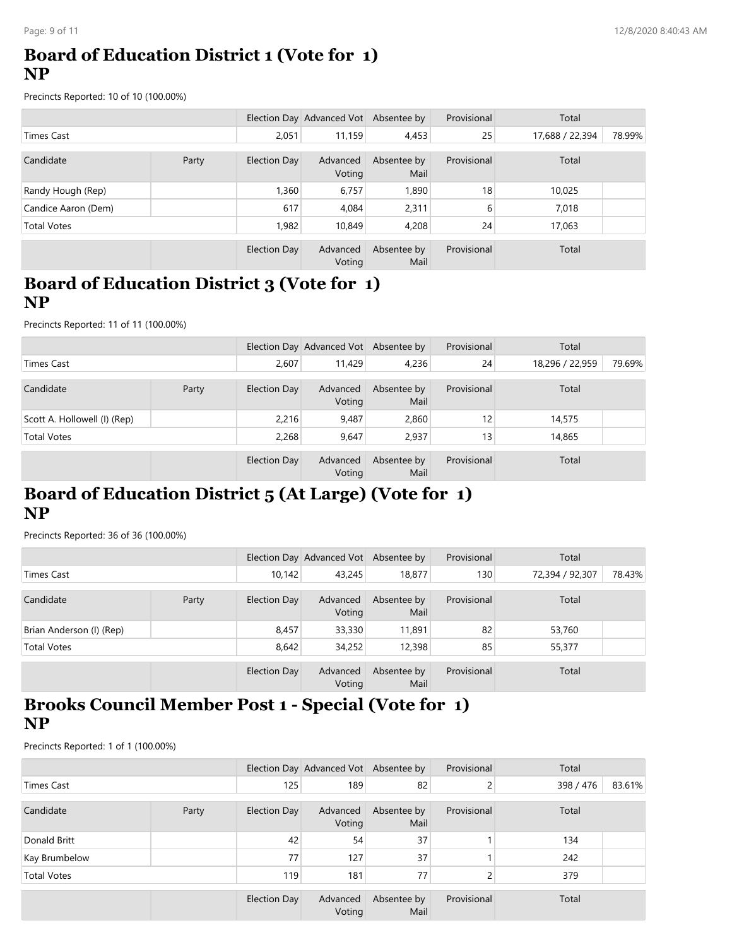#### **Board of Education District 1 (Vote for 1) NP**

Precincts Reported: 10 of 10 (100.00%)

|                     |       |              | Election Day Advanced Vot Absentee by |                     | Provisional | Total           |        |
|---------------------|-------|--------------|---------------------------------------|---------------------|-------------|-----------------|--------|
| Times Cast          |       | 2.051        | 11,159                                | 4,453               | 25          | 17,688 / 22,394 | 78.99% |
| Candidate           | Party | Election Day | Advanced<br>Voting                    | Absentee by<br>Mail | Provisional | Total           |        |
| Randy Hough (Rep)   |       | 1,360        | 6,757                                 | 1,890               | 18          | 10,025          |        |
| Candice Aaron (Dem) |       | 617          | 4.084                                 | 2,311               | 6           | 7,018           |        |
| <b>Total Votes</b>  |       | 1,982        | 10,849                                | 4,208               | 24          | 17,063          |        |
|                     |       | Election Day | Advanced<br>Voting                    | Absentee by<br>Mail | Provisional | Total           |        |

# **Board of Education District 3 (Vote for 1) NP**

Precincts Reported: 11 of 11 (100.00%)

|                              |       |              | Election Day Advanced Vot Absentee by |                     | Provisional | Total           |        |
|------------------------------|-------|--------------|---------------------------------------|---------------------|-------------|-----------------|--------|
| <b>Times Cast</b>            |       | 2.607        | 11.429                                | 4,236               | 24          | 18,296 / 22,959 | 79.69% |
| Candidate                    | Party | Election Day | Advanced<br>Voting                    | Absentee by<br>Mail | Provisional | Total           |        |
| Scott A. Hollowell (I) (Rep) |       | 2,216        | 9,487                                 | 2,860               | 12          | 14,575          |        |
| <b>Total Votes</b>           |       | 2,268        | 9,647                                 | 2,937               | 13          | 14,865          |        |
|                              |       | Election Day | Advanced<br>Voting                    | Absentee by<br>Mail | Provisional | Total           |        |

# **Board of Education District 5 (At Large) (Vote for 1) NP**

Precincts Reported: 36 of 36 (100.00%)

|                          |  |              | Election Day Advanced Vot Absentee by |                     | Provisional | Total           |        |
|--------------------------|--|--------------|---------------------------------------|---------------------|-------------|-----------------|--------|
| Times Cast               |  | 10,142       | 43,245                                | 18,877              | 130         | 72,394 / 92,307 | 78.43% |
| Candidate<br>Party       |  | Election Day | Advanced<br>Voting                    | Absentee by<br>Mail | Provisional | Total           |        |
| Brian Anderson (I) (Rep) |  | 8,457        | 33,330                                | 11,891              | 82          | 53,760          |        |
| <b>Total Votes</b>       |  | 8,642        | 34,252                                | 12,398              | 85          | 55,377          |        |
|                          |  | Election Day | Advanced<br>Voting                    | Absentee by<br>Mail | Provisional | Total           |        |

#### **Brooks Council Member Post 1 - Special (Vote for 1) NP**

|                    |  |              | Election Day Advanced Vot Absentee by |                     | Provisional | Total     |        |
|--------------------|--|--------------|---------------------------------------|---------------------|-------------|-----------|--------|
| <b>Times Cast</b>  |  | 125          | 189                                   | 82                  | 2           | 398 / 476 | 83.61% |
| Candidate<br>Party |  | Election Day | Advanced<br>Voting                    | Absentee by<br>Mail | Provisional | Total     |        |
| Donald Britt       |  | 42           | 54                                    | 37                  |             | 134       |        |
| Kay Brumbelow      |  | 77           | 127                                   | 37                  |             | 242       |        |
| <b>Total Votes</b> |  | 119          | 181                                   | 77                  | 2           | 379       |        |
|                    |  | Election Day | Advanced<br>Voting                    | Absentee by<br>Mail | Provisional | Total     |        |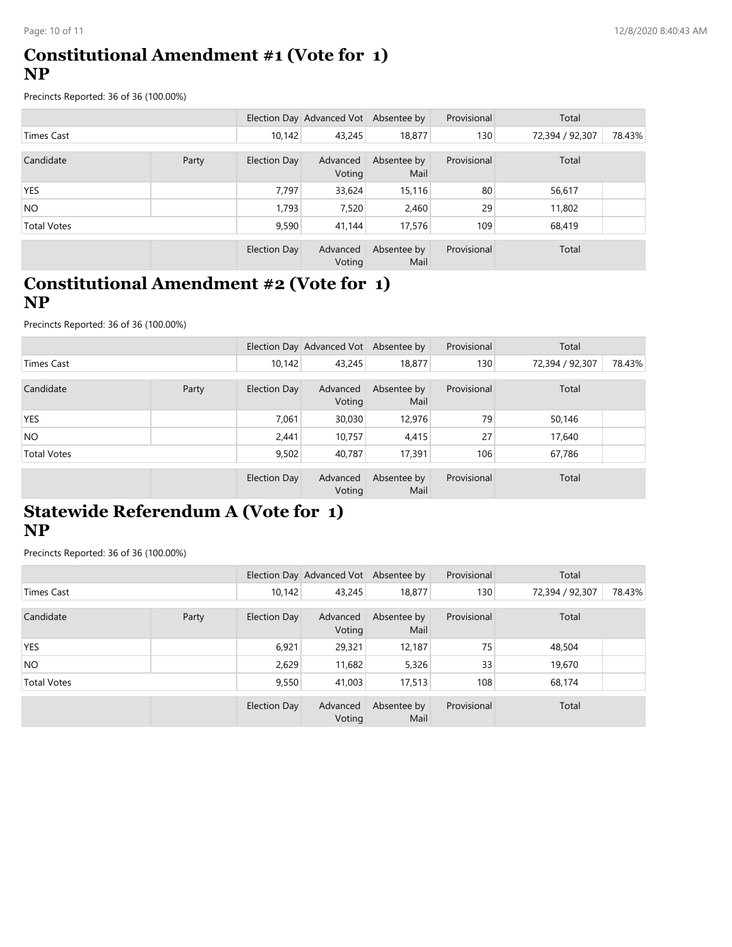#### **Constitutional Amendment #1 (Vote for 1) NP**

Precincts Reported: 36 of 36 (100.00%)

|                    |  |              | Election Day Advanced Vot Absentee by |                     | Provisional | Total           |        |
|--------------------|--|--------------|---------------------------------------|---------------------|-------------|-----------------|--------|
| <b>Times Cast</b>  |  | 10,142       | 43,245                                | 18,877              | 130         | 72,394 / 92,307 | 78.43% |
| Candidate<br>Party |  | Election Day | Advanced                              | Absentee by         | Provisional | Total           |        |
|                    |  |              | Voting                                | Mail                |             |                 |        |
| <b>YES</b>         |  | 7,797        | 33,624                                | 15,116              | 80          | 56,617          |        |
| NO.                |  | 1,793        | 7,520                                 | 2,460               | 29          | 11,802          |        |
| <b>Total Votes</b> |  | 9,590        | 41,144                                | 17,576              | 109         | 68,419          |        |
|                    |  | Election Day | Advanced<br>Voting                    | Absentee by<br>Mail | Provisional | Total           |        |

# **Constitutional Amendment #2 (Vote for 1) NP**

Precincts Reported: 36 of 36 (100.00%)

|                    |       |              | Election Day Advanced Vot Absentee by |                     | Provisional | Total           |        |
|--------------------|-------|--------------|---------------------------------------|---------------------|-------------|-----------------|--------|
| Times Cast         |       | 10,142       | 43,245                                | 18,877              | 130         | 72,394 / 92,307 | 78.43% |
|                    |       |              |                                       |                     |             |                 |        |
| Candidate          | Party | Election Day | Advanced<br>Voting                    | Absentee by<br>Mail | Provisional | Total           |        |
| <b>YES</b>         |       | 7,061        | 30,030                                | 12,976              | 79          | 50,146          |        |
| NO.                |       | 2,441        | 10,757                                | 4,415               | 27          | 17,640          |        |
| <b>Total Votes</b> |       | 9,502        | 40,787                                | 17,391              | 106         | 67,786          |        |
|                    |       |              |                                       |                     |             |                 |        |
|                    |       | Election Day | Advanced                              | Absentee by         | Provisional | Total           |        |
|                    |       |              | Voting                                | Mail                |             |                 |        |

# **Statewide Referendum A (Vote for 1) NP**

|                    |  |              | Election Day Advanced Vot Absentee by |                     | Provisional | Total           |        |
|--------------------|--|--------------|---------------------------------------|---------------------|-------------|-----------------|--------|
| <b>Times Cast</b>  |  | 10,142       | 43,245                                | 18,877              | 130         | 72,394 / 92,307 | 78.43% |
| Candidate<br>Party |  | Election Day | Advanced<br>Voting                    | Absentee by<br>Mail | Provisional | Total           |        |
| <b>YES</b>         |  | 6,921        | 29,321                                | 12,187              | 75          | 48,504          |        |
| NO.                |  | 2,629        | 11,682                                | 5,326               | 33          | 19,670          |        |
| <b>Total Votes</b> |  | 9,550        | 41,003                                | 17,513              | 108         | 68,174          |        |
|                    |  | Election Day | Advanced<br>Voting                    | Absentee by<br>Mail | Provisional | Total           |        |